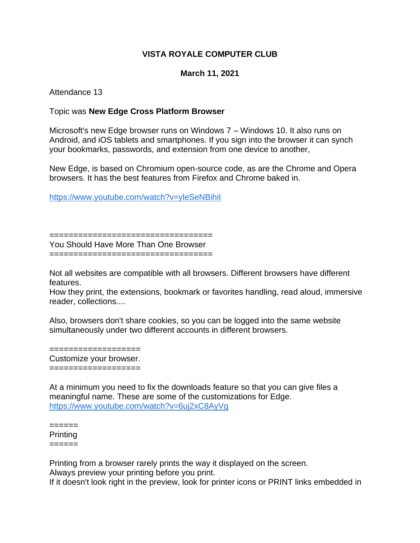## **VISTA ROYALE COMPUTER CLUB**

## **March 11, 2021**

Attendance 13

## Topic was **New Edge Cross Platform Browser**

Microsoft's new Edge browser runs on Windows 7 – Windows 10. It also runs on Android, and iOS tablets and smartphones. If you sign into the browser it can synch your bookmarks, passwords, and extension from one device to another,

New Edge, is based on Chromium open-source code, as are the Chrome and Opera browsers. It has the best features from Firefox and Chrome baked in.

<https://www.youtube.com/watch?v=yleSeNBihiI>

==================================

You Should Have More Than One Browser ==================================

Not all websites are compatible with all browsers. Different browsers have different features.

How they print, the extensions, bookmark or favorites handling, read aloud, immersive reader, collections....

Also, browsers don't share cookies, so you can be logged into the same website simultaneously under two different accounts in different browsers.

=================== Customize your browser. ===================

At a minimum you need to fix the downloads feature so that you can give files a meaningful name. These are some of the customizations for Edge. <https://www.youtube.com/watch?v=6uj2xC8AyVg>

======

Printing ======

Printing from a browser rarely prints the way it displayed on the screen.

Always preview your printing before you print.

If it doesn't look right in the preview, look for printer icons or PRINT links embedded in